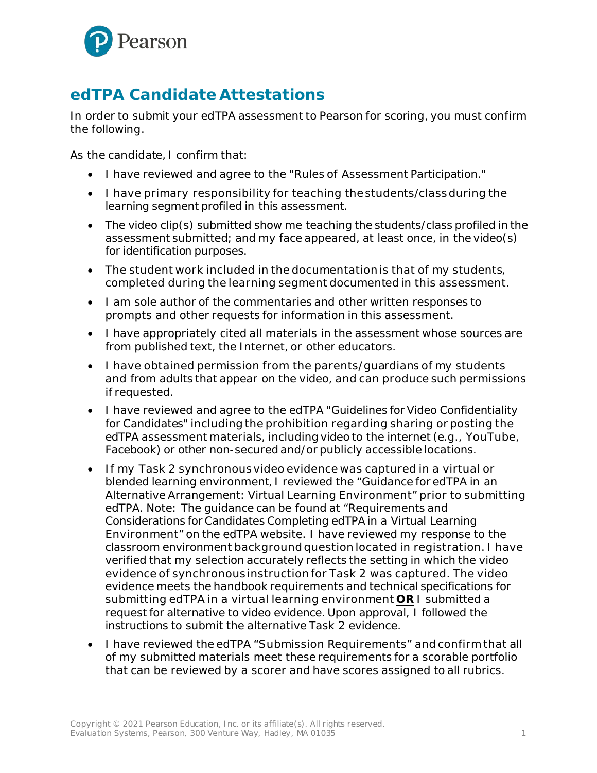

## **edTPA Candidate Attestations**

In order to submit your edTPA assessment to Pearson for scoring, you must confirm the following.

As the candidate, I confirm that:

- I have reviewed and agree to the "Rules of Assessment Participation."
- I have primary responsibility for teaching the students/class during the learning segment profiled in this assessment.
- The video clip(s) submitted show me teaching the students/class profiled in the assessment submitted; and my face appeared, at least once, in the video(s) for identification purposes.
- The student work included in the documentation is that of my students, completed during the learning segment documented in this assessment.
- I am sole author of the commentaries and other written responses to prompts and other requests for information in this assessment.
- I have appropriately cited all materials in the assessment whose sources are from published text, the Internet, or other educators.
- I have obtained permission from the parents/guardians of my students and from adults that appear on the video, and can produce such permissions if requested.
- I have reviewed and agree to the edTPA "Guidelines for Video Confidentiality for Candidates" including the prohibition regarding sharing or posting the edTPA assessment materials, including video to the internet (e.g., YouTube, Facebook) or other non-secured and/or publicly accessible locations.
- If my Task 2 synchronousvideo evidence was captured in a virtual or blended learning environment, I reviewed the "Guidance for edTPA in an Alternative Arrangement: Virtual Learning Environment" prior to submitting edTPA. Note: The guidance can be found at "Requirements and Considerations for Candidates Completing edTPA in a Virtual Learning Environment" on the edTPA website. I have reviewed my response to the classroom environment background question located in registration. I have verified that my selection accurately reflects the setting in which the video evidence of synchronous instruction for Task 2 was captured. The video evidence meets the handbook requirements and technical specifications for submitting edTPA in a virtual learning environment **OR** I submitted a request for alternative to video evidence. Upon approval, I followed the instructions to submit the alternative Task 2 evidence.
- I have reviewed the edTPA "Submission Requirements" and confirm that all of my submitted materials meet these requirements for a scorable portfolio that can be reviewed by a scorer and have scores assigned to all rubrics.